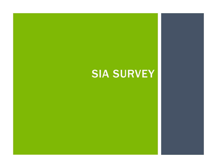# SIA SURVEY<br>SIA SURVEY<br>CONTROLLER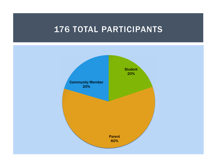# 176 TOTAL PARTICIPANTS

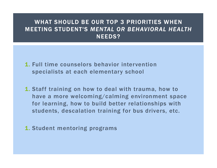## WHAT SHOULD BE OUR TOP 3 PRIORITIES WHEN MEETING STUDENT'S MENTAL OR BEHAVIORAL HEALTH NEEDS?

- 1. Full time counselors behavior intervention specialists at each elementary school
- 1. Staff training on how to deal with trauma, how to have a more welcoming/calming environment space for learning, how to build better relationships with Full time counselors behavior intervention<br>specialists at each elementary school<br>Staff training on how to deal with trauma, how to<br>have a more welcoming/calming environment space<br>for learning, how to build better relations
- 1. Student mentoring programs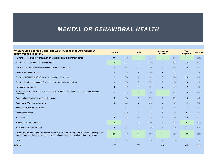## MENTAL OR BEHAVIORAL HEALTH

| <b>MENTAL OR BEHAVIORAL HEALTH</b>                                                                                 |                |       |                 |     |                  |     |                  |            |
|--------------------------------------------------------------------------------------------------------------------|----------------|-------|-----------------|-----|------------------|-----|------------------|------------|
|                                                                                                                    |                |       |                 |     |                  |     |                  |            |
|                                                                                                                    |                |       |                 |     |                  |     |                  |            |
|                                                                                                                    |                |       |                 |     |                  |     |                  |            |
|                                                                                                                    |                |       |                 |     |                  |     |                  |            |
|                                                                                                                    |                |       |                 |     |                  |     |                  |            |
|                                                                                                                    |                |       |                 |     |                  |     |                  |            |
| What should be our top 3 priorities when meeting student's mental or                                               |                |       |                 |     | <b>Community</b> |     | <b>Total</b>     |            |
| behavioral health needs?                                                                                           | <b>Student</b> |       | <b>Parent</b>   |     | <b>Member</b>    |     | <b>Responses</b> | % of Total |
| Full time counselors behavior intervention specialists at each elementary school                                   | 10             | 31%   | 54              | 56% | 13               | 39% | 77               | 15%        |
| Full time OPTIONS therapists as each school                                                                        | 19             | 59%   | 17              | 18% | 9                | 27% | 45               | 9%         |
| Two learning center staff at each elementary and middle school                                                     |                | 3%    | 17              | 18% | $\overline{2}$   | 6%  | 20               | 4%         |
| Deans at elementary schools                                                                                        | -1             | 3%    | 14              | 15% | $\overline{2}$   | 6%  | 17               | 3%         |
| Full time JUVENILE JUSTICE prevention specialist at every site                                                     | $\mathbf{3}$   | 9%    | 13              | 14% | 8                | 24% | 24               | 5%         |
| Full time attendance support staff at each elementary and middle school                                            | $\overline{1}$ | 3%    | 8               | 8%  | 5                | 15% | 14               | 3%         |
| Two adults on every bus                                                                                            | $\overline{4}$ | 13%   | 10              | 10% | 5                | 15% | 19               | 4%         |
| Full day behavior programs in more locations (i.e. full time stepping stones middle school behavior<br>classrooms) | $\overline{7}$ | 22%   | 31              | 32% | 11 <sup>2</sup>  | 33% | 49               | 10%        |
| Two assistant principals at each middle school                                                                     | $\overline{0}$ | $0\%$ | 9               | 9%  |                  | 3%  | 10               | 2%         |
| Additional SROs and/or security staff                                                                              | 3              | $9\%$ | 6               | 6%  | 5                | 15% | 14               | 3%         |
| Additional playground supervision                                                                                  | $\overline{0}$ | $0\%$ | 9               | 9%  | 5 <sup>5</sup>   | 15% | 14               | 3%         |
| School health clinics                                                                                              | 9              | 28%   | 8               | 8%  | $\overline{4}$   | 12% | 21               | 4%         |
| School nurses                                                                                                      | 8              | 25%   | 11              | 11% | $\mathbf{1}$     | 3%  | 20               | 4%         |
| Student mentoring programs                                                                                         | 14             | 44%   | 28              | 29% | 9                | 27% | 51               | 10%        |
| Additional school psychologists                                                                                    | $\overline{4}$ | 13%   | 13              | 14% | $\overline{4}$   | 12% | 21               | 4%         |
| Staff training on how to deal with trauma, how to have a more welcoming/calming environment space for              | 20             | 63%   | 35              | 36% | 14               | 42% | 69               | 14%        |
| learning, how to build better relationships with students, descalation training for bus drivers, etc.              |                | 6%    | $6\overline{6}$ | 6%  | $\overline{4}$   | 12% | 12               | 2%         |
| Other                                                                                                              | $\overline{2}$ |       |                 |     |                  |     |                  |            |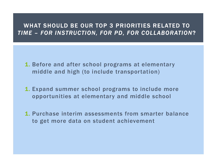# WHAT SHOULD BE OUR TOP 3 PRIORITIES RELATED TO WHAT SHOULD BE OUR TOP 3 PRIORITIES RELATED TO<br>TIME – FOR INSTRUCTION, FOR PD, FOR COLLABORATION?

- 1. Before and after school programs at elementary middle and high (to include transportation)
- 1. Expand summer school programs to include more opportunities at elementary and middle school
- 1. Purchase interim assessments from smarter balance to get more data on student achievement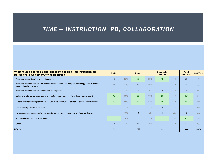# TIME -- INSTRUCTION, PD, COLLABORATION

| TIME -- INSTRUCTION, PD, COLLABORATION                                                                                             |                 |     |                       |     |                                                                                                   |     |                  |            |
|------------------------------------------------------------------------------------------------------------------------------------|-----------------|-----|-----------------------|-----|---------------------------------------------------------------------------------------------------|-----|------------------|------------|
|                                                                                                                                    |                 |     |                       |     |                                                                                                   |     |                  |            |
|                                                                                                                                    |                 |     |                       |     |                                                                                                   |     |                  |            |
|                                                                                                                                    |                 |     |                       |     |                                                                                                   |     |                  |            |
|                                                                                                                                    |                 |     |                       |     |                                                                                                   |     |                  |            |
| What should be our top 3 priorities related to time -- for instruction, for<br>professional development, for collaboration?        | <b>Student</b>  |     | <b>Parent</b>         |     | <b>Community</b>                                                                                  |     | <b>Total</b>     | % of Total |
|                                                                                                                                    |                 |     |                       |     | <b>Member</b>                                                                                     |     | <b>Responses</b> |            |
| Additional school day(s) for student instruction                                                                                   | 8               | 25% | 32                    | 33% | 13 <sup>°</sup>                                                                                   | 39% | 53               | 12%        |
| Additional calendar days for PLC time to review student data and plan accordingly - and to include<br>classified staff in the work | 11              | 34% | 19                    | 20% | 5 <sup>5</sup>                                                                                    | 15% | 35               | 8%         |
| Additional calendar days for professional development                                                                              | 10 <sup>°</sup> | 31% | 19                    | 20% | $6\overline{6}$                                                                                   | 18% | 35               | 8%         |
| Before and after school programs at elementary middle and high (to include transportation)                                         | 19              | 59% | 63                    | 66% | 25                                                                                                | 76% | 107              | 24%        |
| Expand summer school programs to include more opportunities at elementary and middle school                                        | 16              | 50% | 52                    | 54% | 20                                                                                                | 61% | 88               | 20%        |
| Late start/early release at all levels                                                                                             | $\overline{7}$  | 22% | 21                    | 22% | $\overline{4}$                                                                                    | 12% | 32               | 7%         |
| Purchase interim assessments from smarter balance to get more data on student achievement                                          | 5               | 16% | $6\overline{6}$       | 6%  | -1                                                                                                | 3%  | 12               | 3%         |
| Add instructional coaches at all levels                                                                                            | 18              | 56% | 31                    | 32% | 13 <sup>°</sup>                                                                                   | 39% | 62               | 14%        |
| Other                                                                                                                              |                 |     | <b>2</b> 6% <b>10</b> | 10% | $\begin{array}{ c c c c c c }\n\hline\n\text{5} & \text{15\%} & \text{17} \\ \hline\n\end{array}$ |     |                  | $4\%$      |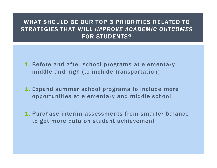## WHAT SHOULD BE OUR TOP 3 PRIORITIES RELATED TO STRATEGIES THAT WILL IMPROVE ACADEMIC OUTCOMES FOR STUDENTS?

- 1. Before and after school programs at elementary middle and high (to include transportation)
- 1. Expand summer school programs to include more opportunities at elementary and middle school
- 1. Purchase interim assessments from smarter balance to get more data on student achievement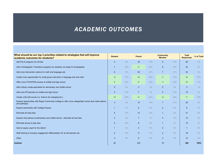# ACADEMIC OUTCOMES

| What should be our top 3 priorities related to strategies that will improve                                             |                                 |           |                       |           | <b>Community</b>              |          | <b>Total</b>     |            |
|-------------------------------------------------------------------------------------------------------------------------|---------------------------------|-----------|-----------------------|-----------|-------------------------------|----------|------------------|------------|
| academic outcomes for students?                                                                                         | <b>Student</b>                  |           | <b>Parent</b>         |           | <b>Member</b>                 |          | <b>Responses</b> | % of Total |
| Add Pre-K programs for all kids                                                                                         | $\mathbf{3}$                    | 9%        | 18                    | 19%       | $5^{\circ}$                   | 15%      | 26               | 7%         |
| Add a Kindergarten Transitions programs for students not ready for kindergarten                                         | $\overline{7}$                  | 22%       | 21                    | 22%       | $6\overline{6}$               | 18%      | 34               | 9%         |
| Add more intervention options for math and language arts                                                                | 6                               | 19%       | 20                    | 21%       | $\overline{7}$                | 21%      | 33               | 9%         |
| Create more opportunities for small group instruction in language arts and math                                         | 10                              | 31%       | 28                    | 29%       | 11                            | 33%      | 49               | 13%        |
| Offer more CTE/STEM courses at middle and high school                                                                   | 8                               | 25%       | 21                    | 22%       | 11                            | 33%      | 40               | 11%        |
| Add a library media specialists for elementary and middle school                                                        | $\overline{0}$                  | $0\%$     | 3 <sup>5</sup>        | 3%        | $\overline{0}$                | $0\%$    | $\mathbf{3}$     | $1\%$      |
| Add more PE teachers at middle and high school                                                                          | $\overline{4}$                  | 13%       | $\overline{7}$        | 7%        | $\overline{4}$                | 12%      | 15               | 4%         |
| Create a life skill course (i.e. finance tire changing etc.)                                                            | 18                              | 56%       | 41                    | 43%       | 12 <sup>2</sup>               | 36%      | 71               | 19%        |
| Expand opportunities with Rogue Community College to offer more college/high school dual credit options<br>and pathways | $\mathbf{3}$                    | 9%        | 10 <sup>°</sup>       | 10%       |                               | 21%      | 20               | 5%         |
| Expand partnership with College Dreams                                                                                  |                                 | 3%        | $6\phantom{1}6$       | 6%        |                               | $6\%$    | 9                | $2\%$      |
| Eliminate all class fees                                                                                                | $6\overline{6}$                 | 19%       | 14                    | 15%       | $\overline{1}$                | 3%       | 21               | 6%         |
| Expand club options at elementary and middle school - eliminate all club fees                                           | $\overline{2}$                  | 6%        | $7\overline{ }$       | 7%        | $\overline{4}$                | 12%      | 13               | 3%         |
|                                                                                                                         | $5\overline{)}$                 | 16%       | 9                     | 9%        | $\overline{1}$                | 3%       | 15               | 4%         |
|                                                                                                                         |                                 | 3%        | $\overline{0}$        | $0\%$     | $\overline{0}$                | $0\%$    | $\overline{1}$   | $0\%$      |
| Eliminate all pay to play fees                                                                                          |                                 |           |                       |           |                               |          |                  |            |
| Add an equity coach for the district                                                                                    | $\overline{1}$                  |           |                       |           |                               |          |                  |            |
| Staff training to increase engagement differentiation for at risk learners etc.<br>Other                                | $5\overline{)}$<br>$\mathbf{3}$ | 16%<br>9% | 11<br>$6\overline{6}$ | 11%<br>6% | $2^{\circ}$<br>3 <sup>2</sup> | 6%<br>9% | 18<br>12         | 5%<br>3%   |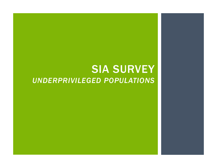# SIA SURVEY<br>ED POPULATIONS UNDERPRIVILEGED POPULATIONS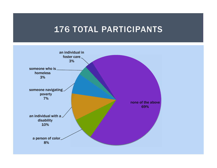# 176 TOTAL PARTICIPANTS

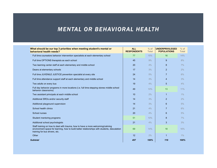## MENTAL OR BEHAVIORAL HEALTH

| <b>MENTAL OR BEHAVIORAL HEALTH</b>                                                                                 |                                  |                        |                                              |                        |
|--------------------------------------------------------------------------------------------------------------------|----------------------------------|------------------------|----------------------------------------------|------------------------|
|                                                                                                                    |                                  |                        |                                              |                        |
|                                                                                                                    |                                  |                        |                                              |                        |
|                                                                                                                    |                                  |                        |                                              |                        |
| What should be our top 3 priorities when meeting student's mental or<br>behavioral health needs?                   | <b>ALL</b><br><b>RESPONDENTS</b> | $%$ of<br><b>Total</b> | <b>UNDERPRIVILEGED</b><br><b>POPULATIONS</b> | $%$ of<br><b>Total</b> |
| Full time counselors behavior intervention specialists at each elementary school                                   | 77                               | 15%                    | 16                                           | 14%                    |
| Full time OPTIONS therapists as each school                                                                        | 45                               | 9%                     | $9^{\circ}$                                  | 8%                     |
| Two learning center staff at each elementary and middle school                                                     | 20                               | 4%                     | 8                                            | 7%                     |
| Deans at elementary schools                                                                                        | 17                               | 3%                     | 2 <sup>2</sup>                               | 2%                     |
| Full time JUVENILE JUSTICE prevention specialist at every site                                                     | 24                               | 5%                     | $\overline{7}$                               | 6%                     |
| Full time attendance support staff at each elementary and middle school                                            | 14                               | 3%                     | $\overline{4}$                               | 3%                     |
| Two adults on every bus                                                                                            | 19                               | 4%                     | 5 <sup>5</sup>                               | 4%                     |
| Full day behavior programs in more locations (i.e. full time stepping stones middle school<br>behavior classrooms) | 49                               | 10%                    | 13                                           | 11%                    |
| Two assistant principals at each middle school                                                                     | 10 <sup>°</sup>                  | 2%                     | $\overline{1}$                               | $1\%$                  |
| Additional SROs and/or security staff                                                                              | 14                               | 3%                     | 2 <sup>2</sup>                               | 2%                     |
| Additional playground supervision                                                                                  | 14                               | 3%                     | $6\phantom{1}$                               | 5%                     |
| School health clinics                                                                                              | 21                               | 4%                     | $\overline{7}$                               | 6%                     |
| School nurses                                                                                                      | 20                               | 4%                     | 6                                            | 5%                     |
| Student mentoring programs                                                                                         | 51                               | 10%                    | 8                                            | 7%                     |
| Additional school psychologists                                                                                    | 21                               | 4%                     | $\mathbf{3}$                                 | 3%                     |
| Staff training on how to deal with trauma, how to have a more welcoming/calming                                    | 69                               | 14%                    | 18                                           | 16%                    |
| environment space for learning, how to build better relationships with students, descalation                       |                                  |                        |                                              |                        |
| training for bus drivers, etc.<br>Other                                                                            | 12                               | 2%                     | $\overline{1}$                               | $1\%$                  |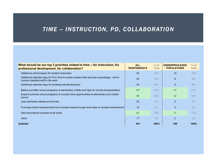# TIME -- INSTRUCTION, PD, COLLABORATION

| TIME -- INSTRUCTION, PD, COLLABORATION                                                                                             |                                  |                        |                                              |                        |
|------------------------------------------------------------------------------------------------------------------------------------|----------------------------------|------------------------|----------------------------------------------|------------------------|
|                                                                                                                                    |                                  |                        |                                              |                        |
|                                                                                                                                    |                                  |                        |                                              |                        |
|                                                                                                                                    |                                  |                        |                                              |                        |
|                                                                                                                                    |                                  |                        |                                              |                        |
|                                                                                                                                    |                                  |                        |                                              |                        |
|                                                                                                                                    |                                  |                        |                                              |                        |
|                                                                                                                                    |                                  |                        |                                              |                        |
| What should be our top 3 priorities related to time -- for instruction, for<br>professional development, for collaboration?        | <b>ALL</b><br><b>RESPONDENTS</b> | $%$ of<br><b>Total</b> | <b>UNDERPRIVILEGED</b><br><b>POPULATIONS</b> | $%$ of<br><b>Total</b> |
|                                                                                                                                    | 53                               |                        |                                              |                        |
| Additional school day(s) for student instruction                                                                                   |                                  | 12%                    | 10                                           | 10%                    |
| Additional calendar days for PLC time to review student data and plan accordingly - and to<br>include classified staff in the work | 35                               | 8%                     | $6\overline{6}$                              | 6%                     |
| Additional calendar days for professional development                                                                              | 35                               | 8%                     | $6\overline{6}$                              | 6%                     |
| Before and after school programs at elementary middle and high (to include transportation)                                         | 107                              | 24%                    | 27                                           | 27%                    |
| Expand summer school programs to include more opportunities at elementary and middle<br>school                                     | 88                               | 20%                    | 22                                           | 22%                    |
| Late start/early release at all levels                                                                                             | 32 <sub>2</sub>                  | $7\%$                  | $5\overline{)}$                              | 5%                     |
| Purchase interim assessments from smarter balance to get more data on student achievement                                          | 12                               | 3%                     | $5\overline{)}$                              | 5%                     |
| Add instructional coaches at all levels                                                                                            | 62                               | 14%                    | 17                                           | 17%                    |
| Other                                                                                                                              | $17$                             | 4%                     | $\overline{2}$                               | 2%                     |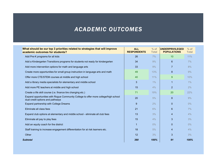## ACADEMIC OUTCOMES

| <b>ACADEMIC OUTCOMES</b>                                                                                                                            |                    |              |                    |              |
|-----------------------------------------------------------------------------------------------------------------------------------------------------|--------------------|--------------|--------------------|--------------|
|                                                                                                                                                     |                    |              |                    |              |
|                                                                                                                                                     |                    |              |                    |              |
| What should be our top 3 priorities related to strategies that will improve                                                                         | <b>ALL</b>         | $%$ of       | UNDERPRIVILEGED    | $%$ of       |
| academic outcomes for students?                                                                                                                     | <b>RESPONDENTS</b> | <b>Total</b> | <b>POPULATIONS</b> | <b>Total</b> |
| Add Pre-K programs for all kids                                                                                                                     | 26<br>34           | $7\%$<br>9%  | 10 <sup>°</sup>    | 11%<br>7%    |
| Add a Kindergarten Transitions programs for students not ready for kindergarten                                                                     |                    |              | 6 <sup>1</sup>     |              |
| Add more intervention options for math and language arts                                                                                            | 33                 | 9%           | $\overline{7}$     | 8%           |
| Create more opportunities for small group instruction in language arts and math                                                                     | 49                 | 13%          | $\bf 8$            | 9%           |
| Offer more CTE/STEM courses at middle and high school                                                                                               | 40                 | 11%          | 9                  | 10%          |
| Add a library media specialists for elementary and middle school                                                                                    | 3                  | $1\%$        | $\overline{1}$     | $1\%$        |
| Add more PE teachers at middle and high school                                                                                                      | 15                 | 4%           | 2 <sup>1</sup>     | 2%           |
| Create a life skill course (i.e. finance tire changing etc.)<br>Expand opportunities with Rogue Community College to offer more college/high school | 71                 | 19%          | 20                 | 22%          |
| dual credit options and pathways                                                                                                                    | 20                 | 5%           | 8                  | 9%           |
| Expand partnership with College Dreams                                                                                                              | 9                  | $2\%$        | $\overline{0}$     | $0\%$        |
| Eliminate all class fees                                                                                                                            | 21                 | 6%           | 6                  | 7%           |
| Expand club options at elementary and middle school - eliminate all club fees                                                                       | 13                 | 3%           | $\overline{4}$     | 4%           |
| Eliminate all pay to play fees                                                                                                                      | 15                 | 4%           | 3 <sup>5</sup>     | 3%           |
| Add an equity coach for the district                                                                                                                | $\mathbf{1}$       | $0\%$        | $\overline{0}$     | $0\%$        |
| Staff training to increase engagement differentiation for at risk learners etc.                                                                     | 18                 | 5%           | $\overline{4}$     | 4%           |
| Other                                                                                                                                               | 12                 | 3%           | $\mathbf{3}$       | 3%           |
|                                                                                                                                                     | 380                | 100%         | 91                 | 100%         |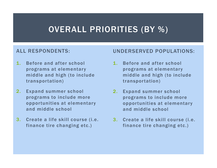# OVERALL PRIORITIES (BY %)

### ALL RESPONDENTS:

- 1. Before and after school programs at elementary middle and high (to include transportation)
- 2. Expand summer school programs to include more opportunities at elementary and middle school
- 3. Create a life skill course (i.e. finance tire changing etc.)

### UNDERSERVED POPULATIONS:

- 1. Before and after school programs at elementary middle and high (to include transportation)
- 2. Expand summer school programs to include more opportunities at elementary and middle school
- 3. Create a life skill course (i.e. finance tire changing etc.)